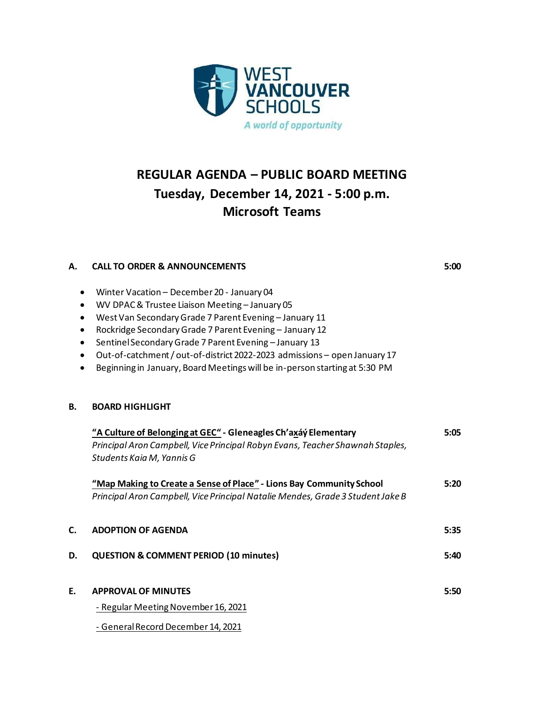

# **REGULAR AGENDA – PUBLIC BOARD MEETING Tuesday, December 14, 2021 - 5:00 p.m. Microsoft Teams**

# **A. CALL TO ORDER & ANNOUNCEMENTS 5:00**

- Winter Vacation December 20 January 04
- WV DPAC & Trustee Liaison Meeting January 05
- West Van Secondary Grade 7 Parent Evening January 11
- Rockridge Secondary Grade 7 Parent Evening January 12
- Sentinel Secondary Grade 7 Parent Evening January 13
- Out-of-catchment / out-of-district 2022-2023 admissions open January 17
- Beginning in January, Board Meetings will be in-person starting at 5:30 PM

### **B. BOARD HIGHLIGHT**

|    | "A Culture of Belonging at GEC" - Gleneagles Ch'axáy Elementary                | 5:05 |
|----|--------------------------------------------------------------------------------|------|
|    | Principal Aron Campbell, Vice Principal Robyn Evans, Teacher Shawnah Staples,  |      |
|    | Students Kaia M, Yannis G                                                      |      |
|    | "Map Making to Create a Sense of Place" - Lions Bay Community School           | 5:20 |
|    | Principal Aron Campbell, Vice Principal Natalie Mendes, Grade 3 Student Jake B |      |
|    |                                                                                |      |
| С. | <b>ADOPTION OF AGENDA</b>                                                      | 5:35 |
| D. | <b>QUESTION &amp; COMMENT PERIOD (10 minutes)</b>                              | 5:40 |
|    |                                                                                |      |
| E. | <b>APPROVAL OF MINUTES</b>                                                     | 5:50 |
|    | - Regular Meeting November 16, 2021                                            |      |
|    | - General Record December 14, 2021                                             |      |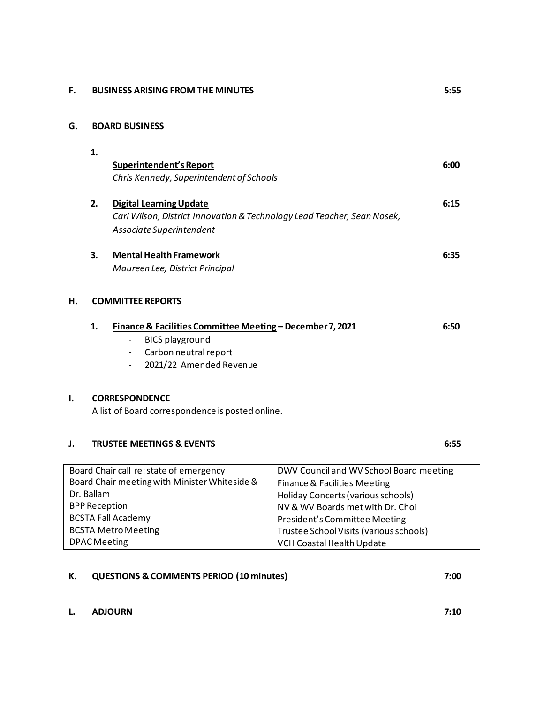#### **F. BUSINESS ARISING FROM THE MINUTES 5:55**

#### **G. BOARD BUSINESS**

|                                                   | 1.<br>2.                                                                                            | Superintendent's Report<br>Chris Kennedy, Superintendent of Schools<br><b>Digital Learning Update</b>                                                               |                                                                          | 6:00<br>6:15 |
|---------------------------------------------------|-----------------------------------------------------------------------------------------------------|---------------------------------------------------------------------------------------------------------------------------------------------------------------------|--------------------------------------------------------------------------|--------------|
|                                                   | Cari Wilson, District Innovation & Technology Lead Teacher, Sean Nosek,<br>Associate Superintendent |                                                                                                                                                                     |                                                                          |              |
|                                                   | 3.                                                                                                  | <b>Mental Health Framework</b><br>Maureen Lee, District Principal                                                                                                   |                                                                          | 6:35         |
| н.                                                |                                                                                                     |                                                                                                                                                                     |                                                                          |              |
|                                                   | 1.                                                                                                  | Finance & Facilities Committee Meeting - December 7, 2021<br><b>BICS playground</b><br>Carbon neutral report<br>$\overline{\phantom{a}}$<br>2021/22 Amended Revenue |                                                                          | 6:50         |
| I.                                                | <b>CORRESPONDENCE</b><br>A list of Board correspondence is posted online.                           |                                                                                                                                                                     |                                                                          |              |
| J.                                                |                                                                                                     | <b>TRUSTEE MEETINGS &amp; EVENTS</b>                                                                                                                                |                                                                          | 6:55         |
| Board Chair call re: state of emergency           |                                                                                                     |                                                                                                                                                                     | DWV Council and WV School Board meeting                                  |              |
| Board Chair meeting with Minister Whiteside &     |                                                                                                     |                                                                                                                                                                     | <b>Finance &amp; Facilities Meeting</b>                                  |              |
| Dr. Ballam                                        |                                                                                                     |                                                                                                                                                                     | Holiday Concerts (various schools)                                       |              |
| <b>BPP Reception</b><br><b>BCSTA Fall Academy</b> |                                                                                                     |                                                                                                                                                                     | NV & WV Boards met with Dr. Choi                                         |              |
| <b>BCSTA Metro Meeting</b>                        |                                                                                                     |                                                                                                                                                                     | President's Committee Meeting<br>Trustee School Visits (various schools) |              |
|                                                   |                                                                                                     |                                                                                                                                                                     |                                                                          |              |

VCH Coastal Health Update

## **K. QUESTIONS & COMMENTS PERIOD (10 minutes) 7:00**

**L. ADJOURN 7:10**

DPAC Meeting